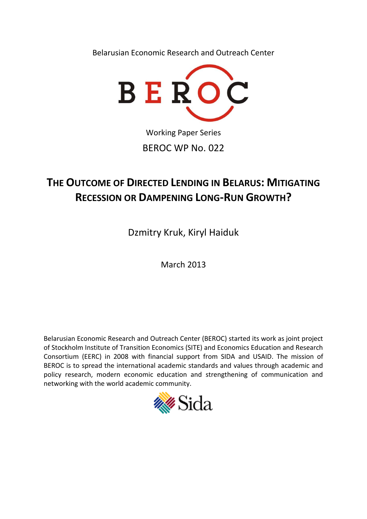Belarusian Economic Research and Outreach Center



Working Paper Series BEROC WP No. 022

# **THE OUTCOME OF DIRECTED LENDING IN BELARUS: MITIGATING RECESSION OR DAMPENING LONG-RUN GROWTH?**

Dzmitry Kruk, Kiryl Haiduk

March 2013

Belarusian Economic Research and Outreach Center (BEROC) started its work as joint project of Stockholm Institute of Transition Economics (SITE) and Economics Education and Research Consortium (EERC) in 2008 with financial support from SIDA and USAID. The mission of BEROC is to spread the international academic standards and values through academic and policy research, modern economic education and strengthening of communication and networking with the world academic community.

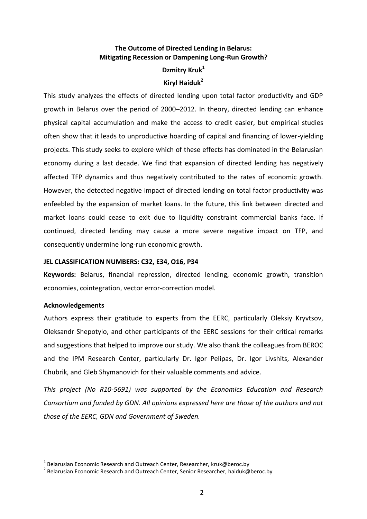# **The Outcome of Directed Lending in Belarus: Mitigating Recession or Dampening Long-Run Growth?**

# **Dzmitry Kruk<sup>1</sup> Kiryl Haiduk<sup>2</sup>**

This study analyzes the effects of directed lending upon total factor productivity and GDP growth in Belarus over the period of 2000–2012. In theory, directed lending can enhance physical capital accumulation and make the access to credit easier, but empirical studies often show that it leads to unproductive hoarding of capital and financing of lower-yielding projects. This study seeks to explore which of these effects has dominated in the Belarusian economy during a last decade. We find that expansion of directed lending has negatively affected TFP dynamics and thus negatively contributed to the rates of economic growth. However, the detected negative impact of directed lending on total factor productivity was enfeebled by the expansion of market loans. In the future, this link between directed and market loans could cease to exit due to liquidity constraint commercial banks face. If continued, directed lending may cause a more severe negative impact on TFP, and consequently undermine long-run economic growth.

# **JEL CLASSIFICATION NUMBERS: C32, E34, O16, P34**

**Keywords:** Belarus, financial repression, directed lending, economic growth, transition economies, cointegration, vector error-correction model.

# **Acknowledgements**

1

Authors express their gratitude to experts from the EERC, particularly Oleksiy Kryvtsov, Oleksandr Shepotylo, and other participants of the EERC sessions for their critical remarks and suggestions that helped to improve our study. We also thank the colleagues from BEROC and the IPM Research Center, particularly Dr. Igor Pelipas, Dr. Igor Livshits, Alexander Chubrik, and Gleb Shymanovich for their valuable comments and advice.

*This project (No R10-5691) was supported by the Economics Education and Research Consortium and funded by GDN. All opinions expressed here are those of the authors and not those of the EERC, GDN and Government of Sweden.*

 $^1$  Belarusian Economic Research and Outreach Center, Researcher, kruk@beroc.by

 $^{2}$  Belarusian Economic Research and Outreach Center, Senior Researcher, haiduk@beroc.by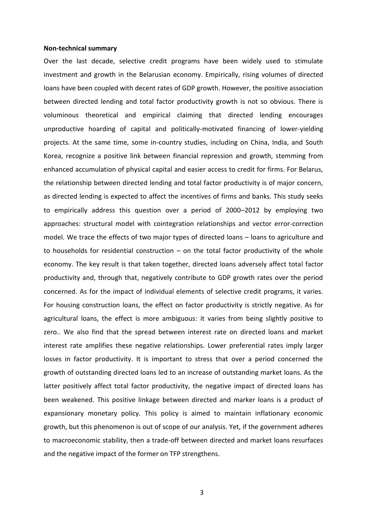#### **Non-technical summary**

Over the last decade, selective credit programs have been widely used to stimulate investment and growth in the Belarusian economy. Empirically, rising volumes of directed loans have been coupled with decent rates of GDP growth. However, the positive association between directed lending and total factor productivity growth is not so obvious. There is voluminous theoretical and empirical claiming that directed lending encourages unproductive hoarding of capital and politically-motivated financing of lower-yielding projects. At the same time, some in-country studies, including on China, India, and South Korea, recognize a positive link between financial repression and growth, stemming from enhanced accumulation of physical capital and easier access to credit for firms. For Belarus, the relationship between directed lending and total factor productivity is of major concern, as directed lending is expected to affect the incentives of firms and banks. This study seeks to empirically address this question over a period of 2000–2012 by employing two approaches: structural model with cointegration relationships and vector error-correction model. We trace the effects of two major types of directed loans – loans to agriculture and to households for residential construction  $-$  on the total factor productivity of the whole economy. The key result is that taken together, directed loans adversely affect total factor productivity and, through that, negatively contribute to GDP growth rates over the period concerned. As for the impact of individual elements of selective credit programs, it varies. For housing construction loans, the effect on factor productivity is strictly negative. As for agricultural loans, the effect is more ambiguous: it varies from being slightly positive to zero.. We also find that the spread between interest rate on directed loans and market interest rate amplifies these negative relationships. Lower preferential rates imply larger losses in factor productivity. It is important to stress that over a period concerned the growth of outstanding directed loans led to an increase of outstanding market loans. As the latter positively affect total factor productivity, the negative impact of directed loans has been weakened. This positive linkage between directed and marker loans is a product of expansionary monetary policy. This policy is aimed to maintain inflationary economic growth, but this phenomenon is out of scope of our analysis. Yet, if the government adheres to macroeconomic stability, then a trade-off between directed and market loans resurfaces and the negative impact of the former on TFP strengthens.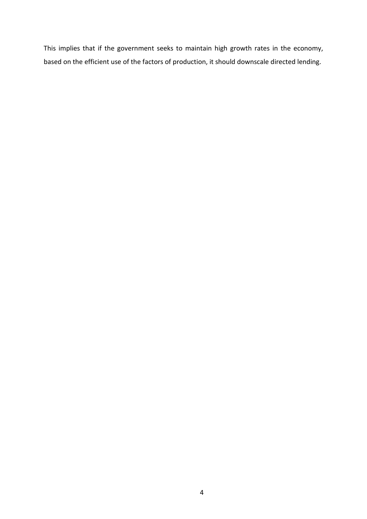This implies that if the government seeks to maintain high growth rates in the economy, based on the efficient use of the factors of production, it should downscale directed lending.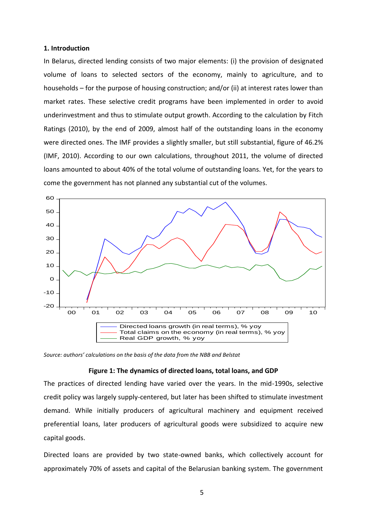#### **1. Introduction**

In Belarus, directed lending consists of two major elements: (i) the provision of designated volume of loans to selected sectors of the economy, mainly to agriculture, and to households – for the purpose of housing construction; and/or (ii) at interest rates lower than market rates. These selective credit programs have been implemented in order to avoid underinvestment and thus to stimulate output growth. According to the calculation by Fitch Ratings (2010), by the end of 2009, almost half of the outstanding loans in the economy were directed ones. The IMF provides a slightly smaller, but still substantial, figure of 46.2% (IMF, 2010). According to our own calculations, throughout 2011, the volume of directed loans amounted to about 40% of the total volume of outstanding loans. Yet, for the years to come the government has not planned any substantial cut of the volumes.



*Source: authors' calculations on the basis of the data from the NBB and Belstat*

#### **Figure 1: The dynamics of directed loans, total loans, and GDP**

The practices of directed lending have varied over the years. In the mid-1990s, selective credit policy was largely supply-centered, but later has been shifted to stimulate investment demand. While initially producers of agricultural machinery and equipment received preferential loans, later producers of agricultural goods were subsidized to acquire new capital goods.

Directed loans are provided by two state-owned banks, which collectively account for approximately 70% of assets and capital of the Belarusian banking system. The government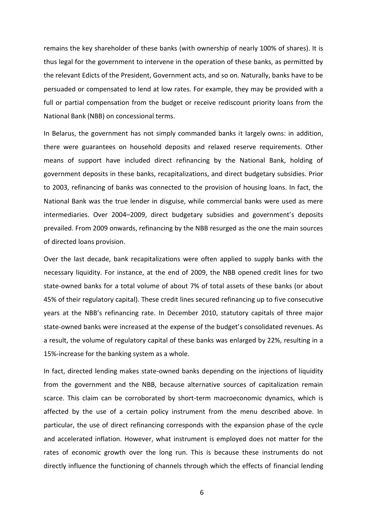remains the key shareholder of these banks (with ownership of nearly 100% of shares). It is thus legal for the government to intervene in the operation of these banks, as permitted by the relevant Edicts of the President, Government acts, and so on. Naturally, banks have to be persuaded or compensated to lend at low rates. For example, they may be provided with a full or partial compensation from the budget or receive rediscount priority loans from the National Bank (NBB) on concessional terms.

In Belarus, the government has not simply commanded banks it largely owns: in addition, there were guarantees on household deposits and relaxed reserve requirements. Other means of support have included direct refinancing by the National Bank, holding of government deposits in these banks, recapitalizations, and direct budgetary subsidies. Prior to 2003, refinancing of banks was connected to the provision of housing loans. In fact, the National Bank was the true lender in disguise, while commercial banks were used as mere intermediaries. Over 2004–2009, direct budgetary subsidies and government's deposits prevailed. From 2009 onwards, refinancing by the NBB resurged as the one the main sources of directed loans provision.

Over the last decade, bank recapitalizations were often applied to supply banks with the necessary liquidity. For instance, at the end of 2009, the NBB opened credit lines for two state-owned banks for a total volume of about 7% of total assets of these banks (or about 45% of their regulatory capital). These credit lines secured refinancing up to five consecutive years at the NBB's refinancing rate. In December 2010, statutory capitals of three major state-owned banks were increased at the expense of the budget's consolidated revenues. As a result, the volume of regulatory capital of these banks was enlarged by 22%, resulting in a 15%-increase for the banking system as a whole.

In fact, directed lending makes state-owned banks depending on the injections of liquidity from the government and the NBB, because alternative sources of capitalization remain scarce. This claim can be corroborated by short-term macroeconomic dynamics, which is affected by the use of a certain policy instrument from the menu described above. In particular, the use of direct refinancing corresponds with the expansion phase of the cycle and accelerated inflation. However, what instrument is employed does not matter for the rates of economic growth over the long run. This is because these instruments do not directly influence the functioning of channels through which the effects of financial lending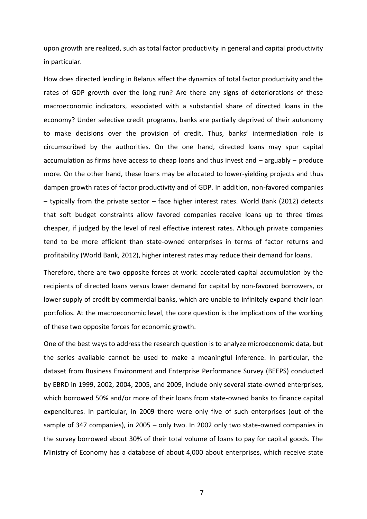upon growth are realized, such as total factor productivity in general and capital productivity in particular.

How does directed lending in Belarus affect the dynamics of total factor productivity and the rates of GDP growth over the long run? Are there any signs of deteriorations of these macroeconomic indicators, associated with a substantial share of directed loans in the economy? Under selective credit programs, banks are partially deprived of their autonomy to make decisions over the provision of credit. Thus, banks' intermediation role is circumscribed by the authorities. On the one hand, directed loans may spur capital accumulation as firms have access to cheap loans and thus invest and – arguably – produce more. On the other hand, these loans may be allocated to lower-yielding projects and thus dampen growth rates of factor productivity and of GDP. In addition, non-favored companies – typically from the private sector – face higher interest rates. World Bank (2012) detects that soft budget constraints allow favored companies receive loans up to three times cheaper, if judged by the level of real effective interest rates. Although private companies tend to be more efficient than state-owned enterprises in terms of factor returns and profitability (World Bank, 2012), higher interest rates may reduce their demand for loans.

Therefore, there are two opposite forces at work: accelerated capital accumulation by the recipients of directed loans versus lower demand for capital by non-favored borrowers, or lower supply of credit by commercial banks, which are unable to infinitely expand their loan portfolios. At the macroeconomic level, the core question is the implications of the working of these two opposite forces for economic growth.

One of the best ways to address the research question is to analyze microeconomic data, but the series available cannot be used to make a meaningful inference. In particular, the dataset from Business Environment and Enterprise Performance Survey (BEEPS) conducted by EBRD in 1999, 2002, 2004, 2005, and 2009, include only several state-owned enterprises, which borrowed 50% and/or more of their loans from state-owned banks to finance capital expenditures. In particular, in 2009 there were only five of such enterprises (out of the sample of 347 companies), in 2005 – only two. In 2002 only two state-owned companies in the survey borrowed about 30% of their total volume of loans to pay for capital goods. The Ministry of Economy has a database of about 4,000 about enterprises, which receive state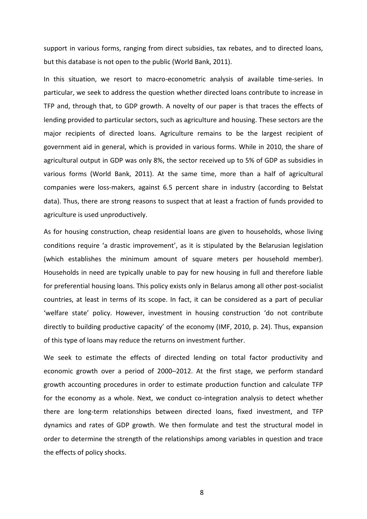support in various forms, ranging from direct subsidies, tax rebates, and to directed loans, but this database is not open to the public (World Bank, 2011).

In this situation, we resort to macro-econometric analysis of available time-series. In particular, we seek to address the question whether directed loans contribute to increase in TFP and, through that, to GDP growth. A novelty of our paper is that traces the effects of lending provided to particular sectors, such as agriculture and housing. These sectors are the major recipients of directed loans. Agriculture remains to be the largest recipient of government aid in general, which is provided in various forms. While in 2010, the share of agricultural output in GDP was only 8%, the sector received up to 5% of GDP as subsidies in various forms (World Bank, 2011). At the same time, more than a half of agricultural companies were loss-makers, against 6.5 percent share in industry (according to Belstat data). Thus, there are strong reasons to suspect that at least a fraction of funds provided to agriculture is used unproductively.

As for housing construction, cheap residential loans are given to households, whose living conditions require 'a drastic improvement', as it is stipulated by the Belarusian legislation (which establishes the minimum amount of square meters per household member). Households in need are typically unable to pay for new housing in full and therefore liable for preferential housing loans. This policy exists only in Belarus among all other post-socialist countries, at least in terms of its scope. In fact, it can be considered as a part of peculiar 'welfare state' policy. However, investment in housing construction 'do not contribute directly to building productive capacity' of the economy (IMF, 2010, p. 24). Thus, expansion of this type of loans may reduce the returns on investment further.

We seek to estimate the effects of directed lending on total factor productivity and economic growth over a period of 2000–2012. At the first stage, we perform standard growth accounting procedures in order to estimate production function and calculate TFP for the economy as a whole. Next, we conduct co-integration analysis to detect whether there are long-term relationships between directed loans, fixed investment, and TFP dynamics and rates of GDP growth. We then formulate and test the structural model in order to determine the strength of the relationships among variables in question and trace the effects of policy shocks.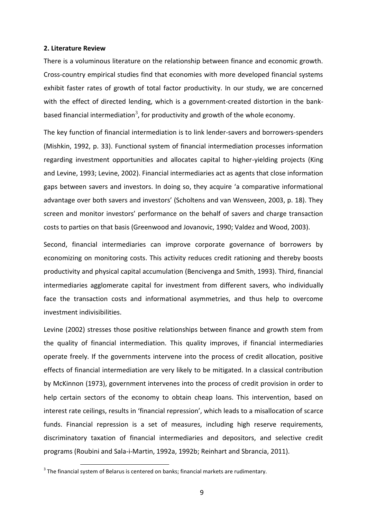#### **2. Literature Review**

There is a voluminous literature on the relationship between finance and economic growth. Cross-country empirical studies find that economies with more developed financial systems exhibit faster rates of growth of total factor productivity. In our study, we are concerned with the effect of directed lending, which is a government-created distortion in the bankbased financial intermediation<sup>3</sup>, for productivity and growth of the whole economy.

The key function of financial intermediation is to link lender-savers and borrowers-spenders (Mishkin, 1992, p. 33). Functional system of financial intermediation processes information regarding investment opportunities and allocates capital to higher-yielding projects (King and Levine, 1993; Levine, 2002). Financial intermediaries act as agents that close information gaps between savers and investors. In doing so, they acquire 'a comparative informational advantage over both savers and investors' (Scholtens and van Wensveen, 2003, p. 18). They screen and monitor investors' performance on the behalf of savers and charge transaction costs to parties on that basis (Greenwood and Jovanovic, 1990; Valdez and Wood, 2003).

Second, financial intermediaries can improve corporate governance of borrowers by economizing on monitoring costs. This activity reduces credit rationing and thereby boosts productivity and physical capital accumulation (Bencivenga and Smith, 1993). Third, financial intermediaries agglomerate capital for investment from different savers, who individually face the transaction costs and informational asymmetries, and thus help to overcome investment indivisibilities.

Levine (2002) stresses those positive relationships between finance and growth stem from the quality of financial intermediation. This quality improves, if financial intermediaries operate freely. If the governments intervene into the process of credit allocation, positive effects of financial intermediation are very likely to be mitigated. In a classical contribution by McKinnon (1973), government intervenes into the process of credit provision in order to help certain sectors of the economy to obtain cheap loans. This intervention, based on interest rate ceilings, results in 'financial repression', which leads to a misallocation of scarce funds. Financial repression is a set of measures, including high reserve requirements, discriminatory taxation of financial intermediaries and depositors, and selective credit programs (Roubini and Sala-i-Martin, 1992a, 1992b; Reinhart and Sbrancia, 2011).

 $^3$  The financial system of Belarus is centered on banks; financial markets are rudimentary.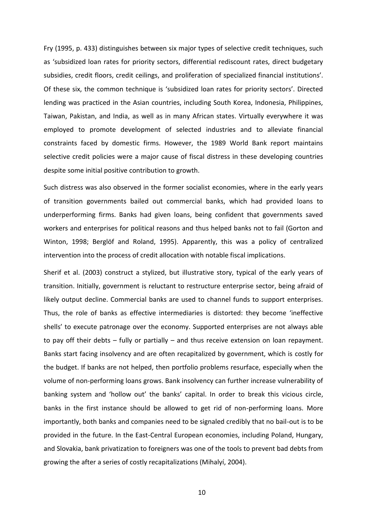Fry (1995, p. 433) distinguishes between six major types of selective credit techniques, such as 'subsidized loan rates for priority sectors, differential rediscount rates, direct budgetary subsidies, credit floors, credit ceilings, and proliferation of specialized financial institutions'. Of these six, the common technique is 'subsidized loan rates for priority sectors'. Directed lending was practiced in the Asian countries, including South Korea, Indonesia, Philippines, Taiwan, Pakistan, and India, as well as in many African states. Virtually everywhere it was employed to promote development of selected industries and to alleviate financial constraints faced by domestic firms. However, the 1989 World Bank report maintains selective credit policies were a major cause of fiscal distress in these developing countries despite some initial positive contribution to growth.

Such distress was also observed in the former socialist economies, where in the early years of transition governments bailed out commercial banks, which had provided loans to underperforming firms. Banks had given loans, being confident that governments saved workers and enterprises for political reasons and thus helped banks not to fail (Gorton and Winton, 1998; Berglöf and Roland, 1995). Apparently, this was a policy of centralized intervention into the process of credit allocation with notable fiscal implications.

Sherif et al. (2003) construct a stylized, but illustrative story, typical of the early years of transition. Initially, government is reluctant to restructure enterprise sector, being afraid of likely output decline. Commercial banks are used to channel funds to support enterprises. Thus, the role of banks as effective intermediaries is distorted: they become 'ineffective shells' to execute patronage over the economy. Supported enterprises are not always able to pay off their debts – fully or partially – and thus receive extension on loan repayment. Banks start facing insolvency and are often recapitalized by government, which is costly for the budget. If banks are not helped, then portfolio problems resurface, especially when the volume of non-performing loans grows. Bank insolvency can further increase vulnerability of banking system and 'hollow out' the banks' capital. In order to break this vicious circle, banks in the first instance should be allowed to get rid of non-performing loans. More importantly, both banks and companies need to be signaled credibly that no bail-out is to be provided in the future. In the East-Central European economies, including Poland, Hungary, and Slovakia, bank privatization to foreigners was one of the tools to prevent bad debts from growing the after a series of costly recapitalizations (Mihalyí, 2004).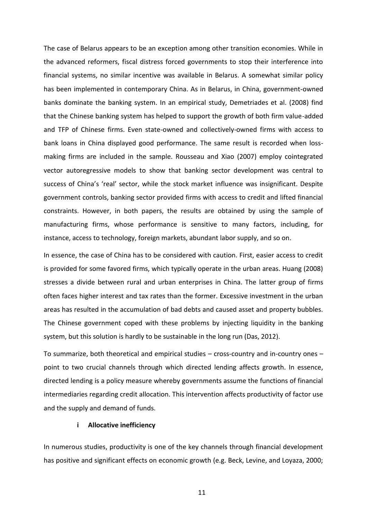The case of Belarus appears to be an exception among other transition economies. While in the advanced reformers, fiscal distress forced governments to stop their interference into financial systems, no similar incentive was available in Belarus. A somewhat similar policy has been implemented in contemporary China. As in Belarus, in China, government-owned banks dominate the banking system. In an empirical study, Demetriades et al. (2008) find that the Chinese banking system has helped to support the growth of both firm value-added and TFP of Chinese firms. Even state-owned and collectively-owned firms with access to bank loans in China displayed good performance. The same result is recorded when lossmaking firms are included in the sample. Rousseau and Xiao (2007) employ cointegrated vector autoregressive models to show that banking sector development was central to success of China's 'real' sector, while the stock market influence was insignificant. Despite government controls, banking sector provided firms with access to credit and lifted financial constraints. However, in both papers, the results are obtained by using the sample of manufacturing firms, whose performance is sensitive to many factors, including, for instance, access to technology, foreign markets, abundant labor supply, and so on.

In essence, the case of China has to be considered with caution. First, easier access to credit is provided for some favored firms, which typically operate in the urban areas. Huang (2008) stresses a divide between rural and urban enterprises in China. The latter group of firms often faces higher interest and tax rates than the former. Excessive investment in the urban areas has resulted in the accumulation of bad debts and caused asset and property bubbles. The Chinese government coped with these problems by injecting liquidity in the banking system, but this solution is hardly to be sustainable in the long run (Das, 2012).

To summarize, both theoretical and empirical studies – cross-country and in-country ones – point to two crucial channels through which directed lending affects growth. In essence, directed lending is a policy measure whereby governments assume the functions of financial intermediaries regarding credit allocation. This intervention affects productivity of factor use and the supply and demand of funds.

#### **i Allocative inefficiency**

In numerous studies, productivity is one of the key channels through financial development has positive and significant effects on economic growth (e.g. Beck, Levine, and Loyaza, 2000;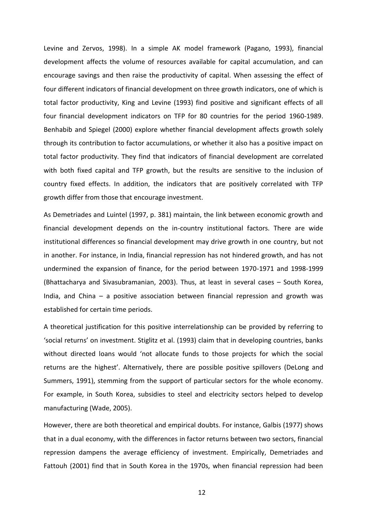Levine and Zervos, 1998). In a simple AK model framework (Pagano, 1993), financial development affects the volume of resources available for capital accumulation, and can encourage savings and then raise the productivity of capital. When assessing the effect of four different indicators of financial development on three growth indicators, one of which is total factor productivity, King and Levine (1993) find positive and significant effects of all four financial development indicators on TFP for 80 countries for the period 1960-1989. Benhabib and Spiegel (2000) explore whether financial development affects growth solely through its contribution to factor accumulations, or whether it also has a positive impact on total factor productivity. They find that indicators of financial development are correlated with both fixed capital and TFP growth, but the results are sensitive to the inclusion of country fixed effects. In addition, the indicators that are positively correlated with TFP growth differ from those that encourage investment.

As Demetriades and Luintel (1997, p. 381) maintain, the link between economic growth and financial development depends on the in-country institutional factors. There are wide institutional differences so financial development may drive growth in one country, but not in another. For instance, in India, financial repression has not hindered growth, and has not undermined the expansion of finance, for the period between 1970-1971 and 1998-1999 (Bhattacharya and Sivasubramanian, 2003). Thus, at least in several cases – South Korea, India, and China – a positive association between financial repression and growth was established for certain time periods.

A theoretical justification for this positive interrelationship can be provided by referring to 'social returns' on investment. Stiglitz et al. (1993) claim that in developing countries, banks without directed loans would 'not allocate funds to those projects for which the social returns are the highest'. Alternatively, there are possible positive spillovers (DeLong and Summers, 1991), stemming from the support of particular sectors for the whole economy. For example, in South Korea, subsidies to steel and electricity sectors helped to develop manufacturing (Wade, 2005).

However, there are both theoretical and empirical doubts. For instance, Galbis (1977) shows that in a dual economy, with the differences in factor returns between two sectors, financial repression dampens the average efficiency of investment. Empirically, Demetriades and Fattouh (2001) find that in South Korea in the 1970s, when financial repression had been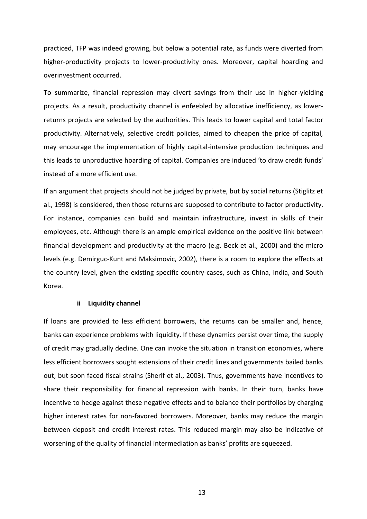practiced, TFP was indeed growing, but below a potential rate, as funds were diverted from higher-productivity projects to lower-productivity ones. Moreover, capital hoarding and overinvestment occurred.

To summarize, financial repression may divert savings from their use in higher-yielding projects. As a result, productivity channel is enfeebled by allocative inefficiency, as lowerreturns projects are selected by the authorities. This leads to lower capital and total factor productivity. Alternatively, selective credit policies, aimed to cheapen the price of capital, may encourage the implementation of highly capital-intensive production techniques and this leads to unproductive hoarding of capital. Companies are induced 'to draw credit funds' instead of a more efficient use.

If an argument that projects should not be judged by private, but by social returns (Stiglitz et al., 1998) is considered, then those returns are supposed to contribute to factor productivity. For instance, companies can build and maintain infrastructure, invest in skills of their employees, etc. Although there is an ample empirical evidence on the positive link between financial development and productivity at the macro (e.g. Beck et al., 2000) and the micro levels (e.g. Demirguc-Kunt and Maksimovic, 2002), there is a room to explore the effects at the country level, given the existing specific country-cases, such as China, India, and South Korea.

#### **ii Liquidity channel**

If loans are provided to less efficient borrowers, the returns can be smaller and, hence, banks can experience problems with liquidity. If these dynamics persist over time, the supply of credit may gradually decline. One can invoke the situation in transition economies, where less efficient borrowers sought extensions of their credit lines and governments bailed banks out, but soon faced fiscal strains (Sherif et al., 2003). Thus, governments have incentives to share their responsibility for financial repression with banks. In their turn, banks have incentive to hedge against these negative effects and to balance their portfolios by charging higher interest rates for non-favored borrowers. Moreover, banks may reduce the margin between deposit and credit interest rates. This reduced margin may also be indicative of worsening of the quality of financial intermediation as banks' profits are squeezed.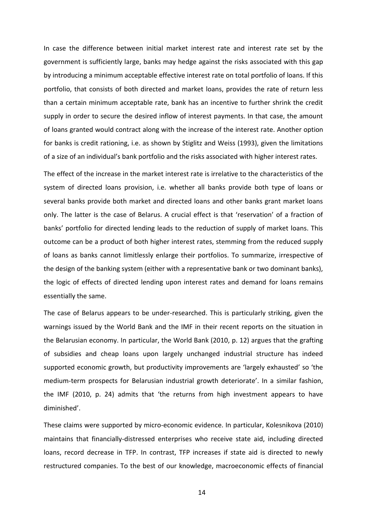In case the difference between initial market interest rate and interest rate set by the government is sufficiently large, banks may hedge against the risks associated with this gap by introducing a minimum acceptable effective interest rate on total portfolio of loans. If this portfolio, that consists of both directed and market loans, provides the rate of return less than a certain minimum acceptable rate, bank has an incentive to further shrink the credit supply in order to secure the desired inflow of interest payments. In that case, the amount of loans granted would contract along with the increase of the interest rate. Another option for banks is credit rationing, i.e. as shown by Stiglitz and Weiss (1993), given the limitations of a size of an individual's bank portfolio and the risks associated with higher interest rates.

The effect of the increase in the market interest rate is irrelative to the characteristics of the system of directed loans provision, i.e. whether all banks provide both type of loans or several banks provide both market and directed loans and other banks grant market loans only. The latter is the case of Belarus. A crucial effect is that 'reservation' of a fraction of banks' portfolio for directed lending leads to the reduction of supply of market loans. This outcome can be a product of both higher interest rates, stemming from the reduced supply of loans as banks cannot limitlessly enlarge their portfolios. To summarize, irrespective of the design of the banking system (either with a representative bank or two dominant banks), the logic of effects of directed lending upon interest rates and demand for loans remains essentially the same.

The case of Belarus appears to be under-researched. This is particularly striking, given the warnings issued by the World Bank and the IMF in their recent reports on the situation in the Belarusian economy. In particular, the World Bank (2010, p. 12) argues that the grafting of subsidies and cheap loans upon largely unchanged industrial structure has indeed supported economic growth, but productivity improvements are 'largely exhausted' so 'the medium-term prospects for Belarusian industrial growth deteriorate'. In a similar fashion, the IMF (2010, p. 24) admits that 'the returns from high investment appears to have diminished'.

These claims were supported by micro-economic evidence. In particular, Kolesnikova (2010) maintains that financially-distressed enterprises who receive state aid, including directed loans, record decrease in TFP. In contrast, TFP increases if state aid is directed to newly restructured companies. To the best of our knowledge, macroeconomic effects of financial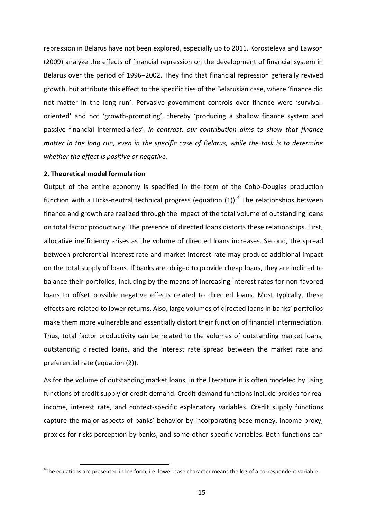repression in Belarus have not been explored, especially up to 2011. Korosteleva and Lawson (2009) analyze the effects of financial repression on the development of financial system in Belarus over the period of 1996–2002. They find that financial repression generally revived growth, but attribute this effect to the specificities of the Belarusian case, where 'finance did not matter in the long run'. Pervasive government controls over finance were 'survivaloriented' and not 'growth-promoting', thereby 'producing a shallow finance system and passive financial intermediaries'. *In contrast, our contribution aims to show that finance matter in the long run, even in the specific case of Belarus, while the task is to determine whether the effect is positive or negative.*

## **2. Theoretical model formulation**

1

Output of the entire economy is specified in the form of the Cobb-Douglas production function with a Hicks-neutral technical progress (equation (1)).<sup>4</sup> The relationships between finance and growth are realized through the impact of the total volume of outstanding loans on total factor productivity. The presence of directed loans distorts these relationships. First, allocative inefficiency arises as the volume of directed loans increases. Second, the spread between preferential interest rate and market interest rate may produce additional impact on the total supply of loans. If banks are obliged to provide cheap loans, they are inclined to balance their portfolios, including by the means of increasing interest rates for non-favored loans to offset possible negative effects related to directed loans. Most typically, these effects are related to lower returns. Also, large volumes of directed loans in banks' portfolios make them more vulnerable and essentially distort their function of financial intermediation. Thus, total factor productivity can be related to the volumes of outstanding market loans, outstanding directed loans, and the interest rate spread between the market rate and preferential rate (equation (2)).

As for the volume of outstanding market loans, in the literature it is often modeled by using functions of credit supply or credit demand. Credit demand functions include proxies for real income, interest rate, and context-specific explanatory variables. Credit supply functions capture the major aspects of banks' behavior by incorporating base money, income proxy, proxies for risks perception by banks, and some other specific variables. Both functions can

 ${}^{4}$ The equations are presented in log form, i.e. lower-case character means the log of a correspondent variable.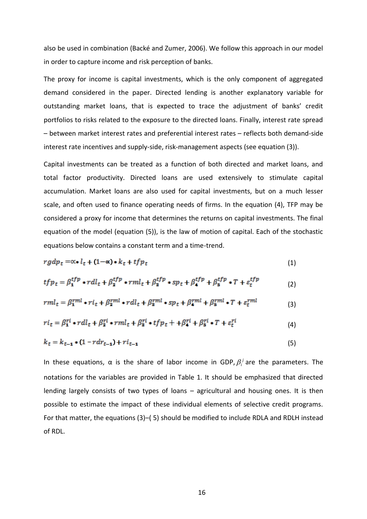also be used in combination (Backé and Zumer, 2006). We follow this approach in our model in order to capture income and risk perception of banks.

The proxy for income is capital investments, which is the only component of aggregated demand considered in the paper. Directed lending is another explanatory variable for outstanding market loans, that is expected to trace the adjustment of banks' credit portfolios to risks related to the exposure to the directed loans. Finally, interest rate spread – between market interest rates and preferential interest rates – reflects both demand-side interest rate incentives and supply-side, risk-management aspects (see equation (3)).

Capital investments can be treated as a function of both directed and market loans, and total factor productivity. Directed loans are used extensively to stimulate capital accumulation. Market loans are also used for capital investments, but on a much lesser scale, and often used to finance operating needs of firms. In the equation (4), TFP may be considered a proxy for income that determines the returns on capital investments. The final equation of the model (equation (5)), is the law of motion of capital. Each of the stochastic equations below contains a constant term and a time-trend.

$$
rgdp_t = \alpha * l_t + (1 - \alpha) * k_t + tfp_t \tag{1}
$$

$$
tfp_t = \beta_1^{tfp} * rdl_t + \beta_2^{tfp} * rml_t + \beta_3^{tfp} * sp_t + \beta_4^{tfp} + \beta_5^{tfp} * T + \varepsilon_t^{tfp}
$$
 (2)

$$
rml_t = \beta_1^{rml} \cdot ri_t + \beta_2^{rml} \cdot rdl_t + \beta_3^{rml} \cdot sp_t + \beta_4^{rml} + \beta_5^{rml} \cdot T + \varepsilon_t^{rml} \tag{3}
$$

$$
ri_t = \beta_1^{ri} \cdot rdl_t + \beta_2^{ri} \cdot rml_t + \beta_3^{ri} \cdot tfp_t + \beta_4^{ri} \cdot \beta_5^{ri} \cdot T + \varepsilon_t^{ri}
$$
\n
$$
\tag{4}
$$

$$
k_t = k_{t-1} \cdot (1 - r dr_{t-1}) + r i_{t-1} \tag{5}
$$

In these equations, α is the share of labor income in GDP,  $β<sub>i</sub><sup>j</sup>$  are the parameters. The notations for the variables are provided in Table 1. It should be emphasized that directed lending largely consists of two types of loans – agricultural and housing ones. It is then possible to estimate the impact of these individual elements of selective credit programs. For that matter, the equations (3)–( 5) should be modified to include RDLA and RDLH instead of RDL.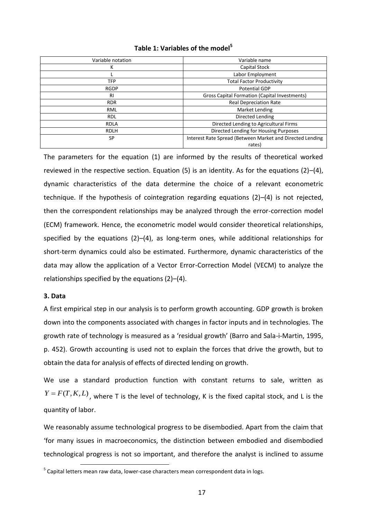|  | Table 1: Variables of the model <sup>5</sup> |  |  |
|--|----------------------------------------------|--|--|
|--|----------------------------------------------|--|--|

| Variable notation | Variable name                                             |
|-------------------|-----------------------------------------------------------|
| К                 | Capital Stock                                             |
|                   | Labor Employment                                          |
| <b>TFP</b>        | <b>Total Factor Productivity</b>                          |
| <b>RGDP</b>       | Potential GDP                                             |
| <b>RI</b>         | <b>Gross Capital Formation (Capital Investments)</b>      |
| <b>RDR</b>        | <b>Real Depreciation Rate</b>                             |
| RML               | Market Lending                                            |
| <b>RDL</b>        | Directed Lending                                          |
| <b>RDLA</b>       | Directed Lending to Agricultural Firms                    |
| <b>RDLH</b>       | Directed Lending for Housing Purposes                     |
| <b>SP</b>         | Interest Rate Spread (Between Market and Directed Lending |
|                   | rates)                                                    |

The parameters for the equation (1) are informed by the results of theoretical worked reviewed in the respective section. Equation  $(5)$  is an identity. As for the equations  $(2)$ – $(4)$ , dynamic characteristics of the data determine the choice of a relevant econometric technique. If the hypothesis of cointegration regarding equations (2)–(4) is not rejected, then the correspondent relationships may be analyzed through the error-correction model (ECM) framework. Hence, the econometric model would consider theoretical relationships, specified by the equations (2)–(4), as long-term ones, while additional relationships for short-term dynamics could also be estimated. Furthermore, dynamic characteristics of the data may allow the application of a Vector Error-Correction Model (VECM) to analyze the relationships specified by the equations (2)–(4).

# **3. Data**

1

A first empirical step in our analysis is to perform growth accounting. GDP growth is broken down into the components associated with changes in factor inputs and in technologies. The growth rate of technology is measured as a 'residual growth' (Barro and Sala-i-Martin, 1995, p. 452). Growth accounting is used not to explain the forces that drive the growth, but to obtain the data for analysis of effects of directed lending on growth.

We use a standard production function with constant returns to sale, written as  $Y = F(T, K, L)$ , where T is the level of technology, K is the fixed capital stock, and L is the quantity of labor.

We reasonably assume technological progress to be disembodied. Apart from the claim that 'for many issues in macroeconomics, the distinction between embodied and disembodied technological progress is not so important, and therefore the analyst is inclined to assume

<sup>&</sup>lt;sup>5</sup> Capital letters mean raw data, lower-case characters mean correspondent data in logs.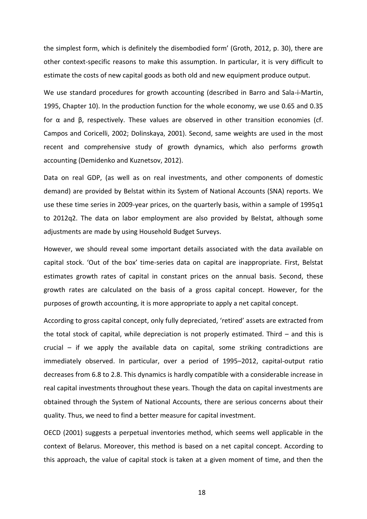the simplest form, which is definitely the disembodied form' (Groth, 2012, p. 30), there are other context-specific reasons to make this assumption. In particular, it is very difficult to estimate the costs of new capital goods as both old and new equipment produce output.

We use standard procedures for growth accounting (described in Barro and Sala-i-Martin, 1995, Chapter 10). In the production function for the whole economy, we use 0.65 and 0.35 for α and β, respectively. These values are observed in other transition economies (cf. Campos and Coricelli, 2002; Dolinskaya, 2001). Second, same weights are used in the most recent and comprehensive study of growth dynamics, which also performs growth accounting (Demidenko and Kuznetsov, 2012).

Data on real GDP, (as well as on real investments, and other components of domestic demand) are provided by Belstat within its System of National Accounts (SNA) reports. We use these time series in 2009-year prices, on the quarterly basis, within a sample of 1995q1 to 2012q2. The data on labor employment are also provided by Belstat, although some adjustments are made by using Household Budget Surveys.

However, we should reveal some important details associated with the data available on capital stock. 'Out of the box' time-series data on capital are inappropriate. First, Belstat estimates growth rates of capital in constant prices on the annual basis. Second, these growth rates are calculated on the basis of a gross capital concept. However, for the purposes of growth accounting, it is more appropriate to apply a net capital concept.

According to gross capital concept, only fully depreciated, 'retired' assets are extracted from the total stock of capital, while depreciation is not properly estimated. Third – and this is crucial – if we apply the available data on capital, some striking contradictions are immediately observed. In particular, over a period of 1995–2012, capital-output ratio decreases from 6.8 to 2.8. This dynamics is hardly compatible with a considerable increase in real capital investments throughout these years. Though the data on capital investments are obtained through the System of National Accounts, there are serious concerns about their quality. Thus, we need to find a better measure for capital investment.

OECD (2001) suggests a perpetual inventories method, which seems well applicable in the context of Belarus. Moreover, this method is based on a net capital concept. According to this approach, the value of capital stock is taken at a given moment of time, and then the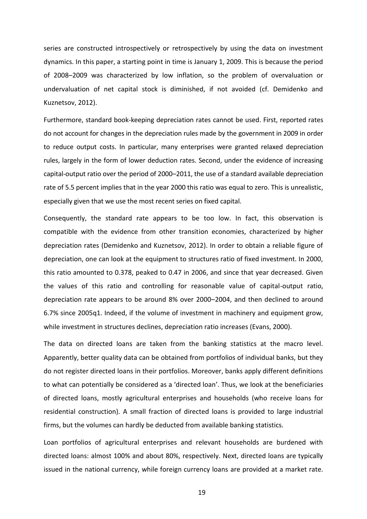series are constructed introspectively or retrospectively by using the data on investment dynamics. In this paper, a starting point in time is January 1, 2009. This is because the period of 2008–2009 was characterized by low inflation, so the problem of overvaluation or undervaluation of net capital stock is diminished, if not avoided (cf. Demidenko and Kuznetsov, 2012).

Furthermore, standard book-keeping depreciation rates cannot be used. First, reported rates do not account for changes in the depreciation rules made by the government in 2009 in order to reduce output costs. In particular, many enterprises were granted relaxed depreciation rules, largely in the form of lower deduction rates. Second, under the evidence of increasing capital-output ratio over the period of 2000–2011, the use of a standard available depreciation rate of 5.5 percent implies that in the year 2000 this ratio was equal to zero. This is unrealistic, especially given that we use the most recent series on fixed capital.

Consequently, the standard rate appears to be too low. In fact, this observation is compatible with the evidence from other transition economies, characterized by higher depreciation rates (Demidenko and Kuznetsov, 2012). In order to obtain a reliable figure of depreciation, one can look at the equipment to structures ratio of fixed investment. In 2000, this ratio amounted to 0.378, peaked to 0.47 in 2006, and since that year decreased. Given the values of this ratio and controlling for reasonable value of capital-output ratio, depreciation rate appears to be around 8% over 2000–2004, and then declined to around 6.7% since 2005q1. Indeed, if the volume of investment in machinery and equipment grow, while investment in structures declines, depreciation ratio increases (Evans, 2000).

The data on directed loans are taken from the banking statistics at the macro level. Apparently, better quality data can be obtained from portfolios of individual banks, but they do not register directed loans in their portfolios. Moreover, banks apply different definitions to what can potentially be considered as a 'directed loan'. Thus, we look at the beneficiaries of directed loans, mostly agricultural enterprises and households (who receive loans for residential construction). A small fraction of directed loans is provided to large industrial firms, but the volumes can hardly be deducted from available banking statistics.

Loan portfolios of agricultural enterprises and relevant households are burdened with directed loans: almost 100% and about 80%, respectively. Next, directed loans are typically issued in the national currency, while foreign currency loans are provided at a market rate.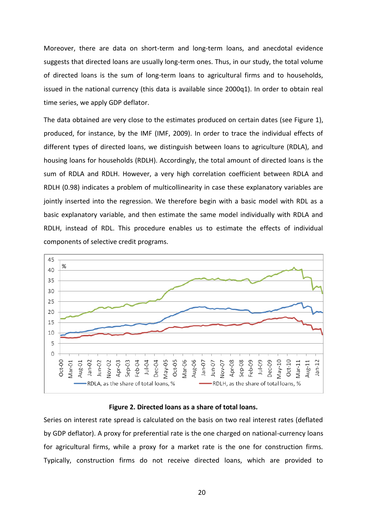Moreover, there are data on short-term and long-term loans, and anecdotal evidence suggests that directed loans are usually long-term ones. Thus, in our study, the total volume of directed loans is the sum of long-term loans to agricultural firms and to households, issued in the national currency (this data is available since 2000q1). In order to obtain real time series, we apply GDP deflator.

The data obtained are very close to the estimates produced on certain dates (see Figure 1), produced, for instance, by the IMF (IMF, 2009). In order to trace the individual effects of different types of directed loans, we distinguish between loans to agriculture (RDLA), and housing loans for households (RDLH). Accordingly, the total amount of directed loans is the sum of RDLA and RDLH. However, a very high correlation coefficient between RDLA and RDLH (0.98) indicates a problem of multicollinearity in case these explanatory variables are jointly inserted into the regression. We therefore begin with a basic model with RDL as a basic explanatory variable, and then estimate the same model individually with RDLA and RDLH, instead of RDL. This procedure enables us to estimate the effects of individual components of selective credit programs.



#### **Figure 2. Directed loans as a share of total loans.**

Series on interest rate spread is calculated on the basis on two real interest rates (deflated by GDP deflator). A proxy for preferential rate is the one charged on national-currency loans for agricultural firms, while a proxy for a market rate is the one for construction firms. Typically, construction firms do not receive directed loans, which are provided to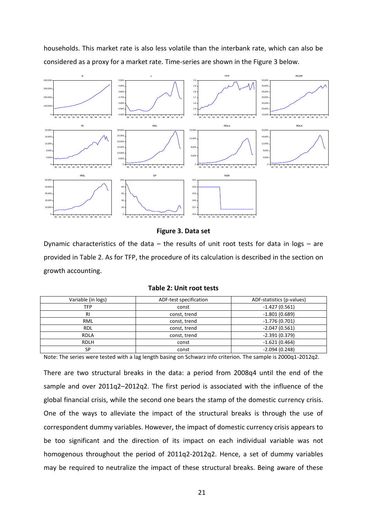households. This market rate is also less volatile than the interbank rate, which can also be considered as a proxy for a market rate. Time-series are shown in the Figure 3 below.



**Figure 3. Data set**

Dynamic characteristics of the data  $-$  the results of unit root tests for data in logs  $-$  are provided in Table 2. As for TFP, the procedure of its calculation is described in the section on growth accounting.

| Variable (in logs) | ADF-test specification | ADF-statistics (p-values) |
|--------------------|------------------------|---------------------------|
| TFP                | const                  | $-1.427(0.561)$           |
| RI                 | const, trend           | $-1.801(0.689)$           |
| <b>RML</b>         | const, trend           | $-1.776(0.701)$           |
| <b>RDL</b>         | const, trend           | $-2.047(0.561)$           |
| <b>RDLA</b>        | const, trend           | $-2.391(0.379)$           |
| <b>RDLH</b>        | const                  | $-1.621(0.464)$           |
| SP                 | const                  | $-2.094(0.248)$           |

**Table 2: Unit root tests**

Note: The series were tested with a lag length basing on Schwarz info criterion. The sample is 2000q1-2012q2.

There are two structural breaks in the data: a period from 2008q4 until the end of the sample and over 2011q2–2012q2. The first period is associated with the influence of the global financial crisis, while the second one bears the stamp of the domestic currency crisis. One of the ways to alleviate the impact of the structural breaks is through the use of correspondent dummy variables. However, the impact of domestic currency crisis appears to be too significant and the direction of its impact on each individual variable was not homogenous throughout the period of 2011q2-2012q2. Hence, a set of dummy variables may be required to neutralize the impact of these structural breaks. Being aware of these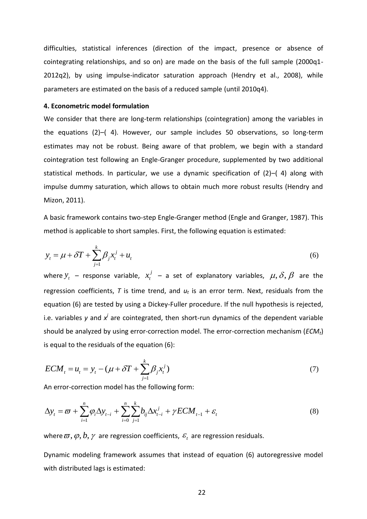difficulties, statistical inferences (direction of the impact, presence or absence of cointegrating relationships, and so on) are made on the basis of the full sample (2000q1- 2012q2), by using impulse-indicator saturation approach (Hendry et al., 2008), while parameters are estimated on the basis of a reduced sample (until 2010q4).

### **4. Econometric model formulation**

We consider that there are long-term relationships (cointegration) among the variables in the equations (2)–( 4). However, our sample includes 50 observations, so long-term estimates may not be robust. Being aware of that problem, we begin with a standard cointegration test following an Engle-Granger procedure, supplemented by two additional statistical methods. In particular, we use a dynamic specification of (2)–( 4) along with impulse dummy saturation, which allows to obtain much more robust results (Hendry and Mizon, 2011).

A basic framework contains two-step Engle-Granger method (Engle and Granger, 1987). This method is applicable to short samples. First, the following equation is estimated:

$$
y_t = \mu + \delta T + \sum_{j=1}^k \beta_j x_t^j + u_t
$$
\n<sup>(6)</sup>

where  $y_t$  – response variable,  $x_t^j$  – a set of explanatory variables,  $\mu, \delta, \beta$  are the regression coefficients, *T* is time trend, and *u<sup>t</sup>* is an error term. Next, residuals from the equation (6) are tested by using a Dickey-Fuller procedure. If the null hypothesis is rejected, i.e. variables y and x<sup>*i*</sup> are cointegrated, then short-run dynamics of the dependent variable should be analyzed by using error-correction model. The error-correction mechanism (*ECMt*) is equal to the residuals of the equation (6):  $x_t^j$  – a set of explanatory variables,  $\mu, \delta, \beta$ 

$$
ECM_{t} = u_{t} = y_{t} - (\mu + \delta T + \sum_{j=1}^{k} \beta_{j} x_{t}^{j})
$$
\n(7)

An error-correction model has the following form:  
\n
$$
\Delta y_{t} = \varpi + \sum_{i=1}^{n} \varphi_{i} \Delta y_{t-i} + \sum_{i=0}^{n} \sum_{j=1}^{k} b_{ij} \Delta x_{t-i}^{j} + \gamma ECM_{t-1} + \varepsilon_{t}
$$
\n(8)

where  $\varpi, \varphi, b, \gamma$  are regression coefficients,  $\mathscr{\varepsilon}_{_t}$  are regression residuals.

Dynamic modeling framework assumes that instead of equation (6) autoregressive model with distributed lags is estimated: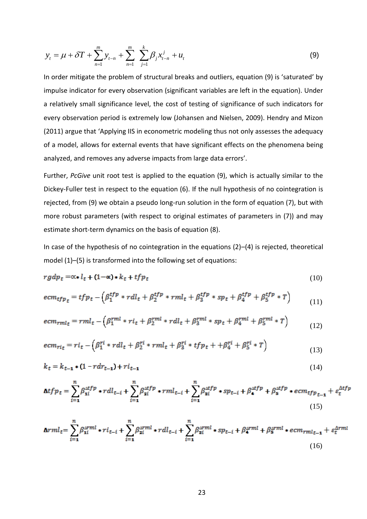$$
y_{t} = \mu + \delta T + \sum_{n=1}^{m} y_{t-n} + \sum_{n=1}^{m} \sum_{j=1}^{k} \beta_{j} x_{t-n}^{j} + u_{t}
$$
 (9)

In order mitigate the problem of structural breaks and outliers, equation (9) is 'saturated' by impulse indicator for every observation (significant variables are left in the equation). Under a relatively small significance level, the cost of testing of significance of such indicators for every observation period is extremely low (Johansen and Nielsen, 2009). Hendry and Mizon (2011) argue that 'Applying IIS in econometric modeling thus not only assesses the adequacy of a model, allows for external events that have significant effects on the phenomena being analyzed, and removes any adverse impacts from large data errors'.

Further, *PcGive* unit root test is applied to the equation (9), which is actually similar to the Dickey-Fuller test in respect to the equation (6). If the null hypothesis of no cointegration is rejected, from (9) we obtain a pseudo long-run solution in the form of equation (7), but with more robust parameters (with respect to original estimates of parameters in (7)) and may estimate short-term dynamics on the basis of equation (8).

In case of the hypothesis of no cointegration in the equations (2)–(4) is rejected, theoretical model (1)–(5) is transformed into the following set of equations:

$$
rgdp_t = \alpha * l_t + (1 - \alpha) * k_t + tfp_t \tag{10}
$$

$$
ecm_{tfp} = tfp_t - (\beta_1^{tfp} * rdl_t + \beta_2^{tfp} * rml_t + \beta_3^{tfp} * sp_t + \beta_4^{tfp} + \beta_5^{tfp} * T) \tag{11}
$$

$$
ecm_{rmlt} = rml_t - \left(\beta_1^{rml} * ri_t + \beta_2^{rml} * rdl_t + \beta_3^{rml} * sp_t + \beta_4^{rml} + \beta_5^{rml} * T\right)
$$
(12)

$$
ecm_{rit} = ri_t - \left(\beta_1^{ri} * rdl_t + \beta_2^{ri} * rml_t + \beta_3^{ri} * tfp_t + \beta_4^{ri} + \beta_5^{ri} * T\right)
$$
\n(13)

$$
k_t = k_{t-1} * (1 - r dr_{t-1}) + r i_{t-1}
$$
\n(14)

$$
\Delta t f p_t = \sum_{i=1}^n \beta_{1i}^{\Delta t f p} \cdot r dl_{t-i} + \sum_{i=1}^n \beta_{2i}^{\Delta t f p} \cdot r ml_{t-i} + \sum_{i=1}^n \beta_{2i}^{\Delta t f p} \cdot s p_{t-i} + \beta_{4}^{\Delta t f p} + \beta_{5}^{\Delta t f p} \cdot e c m_{t f p}{}_{t-1} + \varepsilon_{t}^{\Delta t f p}
$$
\n(15)

$$
\Delta rml_t = \sum_{i=1}^n \beta_{1i}^{\Delta rml} \cdot ri_{t-i} + \sum_{i=1}^n \beta_{2i}^{\Delta rml} \cdot rel_{t-i} + \sum_{i=1}^n \beta_{3i}^{\Delta rml} \cdot sp_{t-i} + \beta_{4}^{\Delta rml} + \beta_{5}^{\Delta rml} \cdot ecm_{rml_{t-1}} + \varepsilon_{t}^{\Delta rml}
$$
\n(16)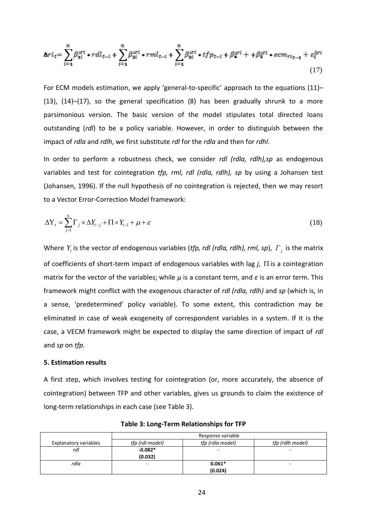$$
\Delta r i_t = \sum_{i=1}^n \beta_{1i}^{\Delta r i} \cdot r dl_{t-i} + \sum_{i=1}^n \beta_{2i}^{\Delta r i} \cdot rml_{t-i} + \sum_{i=1}^n \beta_{3i}^{\Delta r i} \cdot tfp_{t-i} + \beta_{4}^{\Delta r i} + \beta_{5}^{\Delta r i} \cdot ecm_{ri_{t-1}} + \varepsilon_{t}^{\Delta r i}
$$
\n(17)

For ECM models estimation, we apply 'general-to-specific' approach to the equations (11)– (13), (14)–(17), so the general specification (8) has been gradually shrunk to a more parsimonious version. The basic version of the model stipulates total directed loans outstanding (*rdl*) to be a policy variable. However, in order to distinguish between the impact of *rdla* and *rdlh*, we first substitute *rdl* for the *rdla* and then for *rdhl*.

In order to perform a robustness check, we consider *rdl (rdla, rdlh),sp* as endogenous variables and test for cointegration *tfp, rml, rdl (rdla, rdlh), sp* by using a Johansen test (Johansen, 1996). If the null hypothesis of no cointegration is rejected, then we may resort to a Vector Error-Correction Model framework:

$$
\Delta Y_t = \sum_{j=1}^n \Gamma_j \times \Delta Y_{t-j} + \Pi \times Y_{t-1} + \mu + \varepsilon
$$
\n(18)

Where  $Y<sub>t</sub>$  is the vector of endogenous variables (*tfp, rdl (rdla, rdlh), rml, sp*),  $\Gamma<sub>j</sub>$  is the matrix of coefficients of short-term impact of endogenous variables with lag  $j$ ,  $\Pi$  is a cointegration matrix for the vector of the variables; while *μ* is a constant term, and *ε* is an error term. This framework might conflict with the exogenous character of *rdl (rdla, rdlh)* and *sp* (which is, in a sense, 'predetermined' policy variable). To some extent, this contradiction may be eliminated in case of weak exogeneity of correspondent variables in a system. If it is the case, a VECM framework might be expected to display the same direction of impact of *rdl* and *sp* on *tfp.*

### **5. Estimation results**

A first step, which involves testing for cointegration (or, more accurately, the absence of cointegration) between TFP and other variables, gives us grounds to claim the existence of long-term relationships in each case (see Table 3).

|                       | Response variable |                          |                  |
|-----------------------|-------------------|--------------------------|------------------|
| Explanatory variables | tfp (rdl-model)   | tfp (rdla model)         | tfp (rdlh model) |
| rdl                   | $-0.082*$         | $\overline{\phantom{a}}$ | -                |
|                       | (0.032)           |                          |                  |
| rdla                  | -                 | $0.061*$                 |                  |
|                       |                   | (0.024)                  |                  |

**Table 3: Long-Term Relationships for TFP**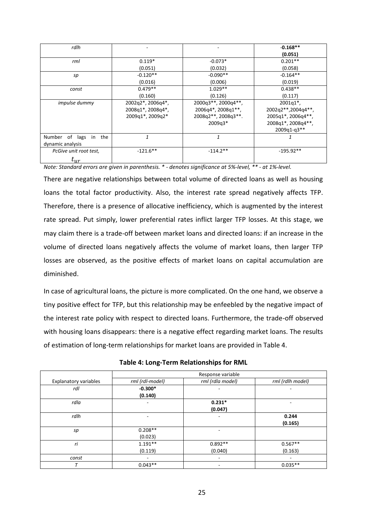| rdlh                        |                   |                                                              | $-0.168**$         |
|-----------------------------|-------------------|--------------------------------------------------------------|--------------------|
|                             |                   |                                                              | (0.051)            |
| rml                         | $0.119*$          | $-0.073*$                                                    | $0.201**$          |
|                             | (0.051)           | (0.032)                                                      | (0.058)            |
| sp                          | $-0.120**$        | $-0.090**$                                                   | $-0.164**$         |
|                             | (0.016)           | (0.006)                                                      | (0.019)            |
| const                       | $0.479**$         | $1.029**$                                                    | $0.438**$          |
|                             | (0.160)           | (0.126)                                                      | (0.117)            |
| <i>impulse dummy</i>        | 2002q2*, 2006q4*, | 2000q3**, 2000q4**,                                          | $2001q1^*$ ,       |
|                             | 2008q1*, 2008q4*, | $2006q4$ <sup>*</sup> , $2008q1$ <sup>*</sup> <sup>*</sup> , | 2002q2**,2004q4**, |
|                             | 2009q1*, 2009q2*  | 2008q2**, 2008q3**.                                          | 2005q1*, 2006q4**, |
|                             |                   | $2009q3*$                                                    | 2008q1*, 2008q4**, |
|                             |                   |                                                              | 2009q1-q3**        |
| Number of lags<br>the<br>in | 1                 | 1                                                            |                    |
| dynamic analysis            |                   |                                                              |                    |
| PcGive unit root test,      | $-121.6**$        | $-114.2**$                                                   | $-195.92**$        |
| $t_{ur}$                    |                   |                                                              |                    |

*Note: Standard errors are given in parenthesis. \* - denotes significance at 5%-level, \*\* - at 1%-level.*

There are negative relationships between total volume of directed loans as well as housing loans the total factor productivity. Also, the interest rate spread negatively affects TFP. Therefore, there is a presence of allocative inefficiency, which is augmented by the interest rate spread. Put simply, lower preferential rates inflict larger TFP losses. At this stage, we may claim there is a trade-off between market loans and directed loans: if an increase in the volume of directed loans negatively affects the volume of market loans, then larger TFP losses are observed, as the positive effects of market loans on capital accumulation are diminished.

In case of agricultural loans, the picture is more complicated. On the one hand, we observe a tiny positive effect for TFP, but this relationship may be enfeebled by the negative impact of the interest rate policy with respect to directed loans. Furthermore, the trade-off observed with housing loans disappears: there is a negative effect regarding market loans. The results of estimation of long-term relationships for market loans are provided in Table 4.

|                       |                 | Response variable |                  |
|-----------------------|-----------------|-------------------|------------------|
| Explanatory variables | rml (rdl-model) | rml (rdla model)  | rml (rdlh model) |
| rdl                   | $-0.300*$       |                   | ۰                |
|                       | (0.140)         |                   |                  |
| rdla                  | ۰               | $0.231*$          | ۰                |
|                       |                 | (0.047)           |                  |
| rdlh                  |                 | ۰                 | 0.244            |
|                       |                 |                   | (0.165)          |
| sp                    | $0.208**$       |                   |                  |
|                       | (0.023)         |                   |                  |
| ri                    | $1.191**$       | $0.892**$         | $0.567**$        |
|                       | (0.119)         | (0.040)           | (0.163)          |
| const                 | ۰               | ٠                 | ۰                |
|                       | $0.043**$       | -                 | $0.035**$        |

**Table 4: Long-Term Relationships for RML**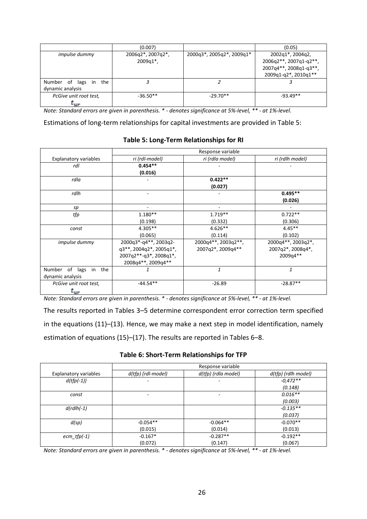|                             | (0.007)                 |                           | (0.05)                 |
|-----------------------------|-------------------------|---------------------------|------------------------|
| <i>impulse dummy</i>        | 2006q2*, 2007q2*,       | 2000q3*, 2005q2*, 2009q1* | 2002q1*, 2004q2,       |
|                             | $2009q1$ <sup>*</sup> , |                           | 2006q2**, 2007q1-q2**, |
|                             |                         |                           | 2007q4**, 2008q1-q3**, |
|                             |                         |                           | 2009q1-q2*, 2010q1**   |
| Number of lags<br>the<br>in |                         |                           |                        |
| dynamic analysis            |                         |                           |                        |
| PcGive unit root test,      | $-36.50**$              | $-29.70**$                | $-93.49**$             |
| $L_{IIP}$                   |                         |                           |                        |

*Note: Standard errors are given in parenthesis. \* - denotes significance at 5%-level, \*\* - at 1%-level.*

Estimations of long-term relationships for capital investments are provided in Table 5:

### **Table 5: Long-Term Relationships for RI**

|                              | Response variable       |                     |                    |
|------------------------------|-------------------------|---------------------|--------------------|
| <b>Explanatory variables</b> | ri (rdl-model)          | ri (rdla model)     | ri (rdlh model)    |
| rdl                          | $0.454**$               |                     |                    |
|                              | (0.016)                 |                     |                    |
| rdla                         |                         | $0.422**$           |                    |
|                              |                         | (0.027)             |                    |
| rdlh                         |                         |                     | $0.495**$          |
|                              |                         |                     | (0.026)            |
| sp                           |                         |                     |                    |
| tfp                          | $1.180**$               | $1.719**$           | $0.722**$          |
|                              | (0.198)                 | (0.332)             | (0.306)            |
| const                        | $4.305**$               | $4.626**$           | $4.45**$           |
|                              | (0.065)                 | (0.114)             | (0.102)            |
| <i>impulse dummy</i>         | 2000q3*-q4**, 2003q2-   | 2000q4**, 2003q2**, | 2000q4**, 2003q2*, |
|                              | q3**, 2004q2*, 2005q1*, | 2007q2*, 2009q4**   | 2007q2*, 2008q4*,  |
|                              | 2007q2**-q3*, 2008q1*,  |                     | 2009q4**           |
|                              | 2008q4**, 2009q4**      |                     |                    |
| Number of lags<br>the<br>in  |                         | $\mathbf{1}$        | $\mathbf{1}$       |
| dynamic analysis             |                         |                     |                    |
| PcGive unit root test,       | $-44.54**$              | $-26.89$            | $-28.87**$         |
| $t_{ur}$                     |                         |                     |                    |

*Note: Standard errors are given in parenthesis. \* - denotes significance at 5%-level, \*\* - at 1%-level.*

The results reported in Tables 3–5 determine correspondent error correction term specified in the equations (11)–(13). Hence, we may make a next step in model identification, namely estimation of equations (15)–(17). The results are reported in Tables 6–8.

|  |  | Table 6: Short-Term Relationships for TFP |  |  |
|--|--|-------------------------------------------|--|--|
|--|--|-------------------------------------------|--|--|

|                              | Response variable  |                     |                     |
|------------------------------|--------------------|---------------------|---------------------|
| <b>Explanatory variables</b> | d(tfp) (rdl-model) | d(tfp) (rdla model) | d(tfp) (rdlh model) |
| $d(tfp(-1))$                 |                    | -                   | $-0.472**$          |
|                              |                    |                     | (0.148)             |
| const                        |                    |                     | $0.016**$           |
|                              |                    |                     | (0.003)             |
| $d(rdlh(-1))$                |                    |                     | $-0.135**$          |
|                              |                    |                     | (0.037)             |
| d(sp)                        | $-0.054**$         | $-0.064**$          | $-0.070**$          |
|                              | (0.015)            | (0.014)             | (0.013)             |
| $ecm_ffp(-1)$                | $-0.167*$          | $-0.287**$          | $-0.192**$          |
|                              | (0.072)            | (0.147)             | (0.067)             |

*Note: Standard errors are given in parenthesis. \* - denotes significance at 5%-level, \*\* - at 1%-level.*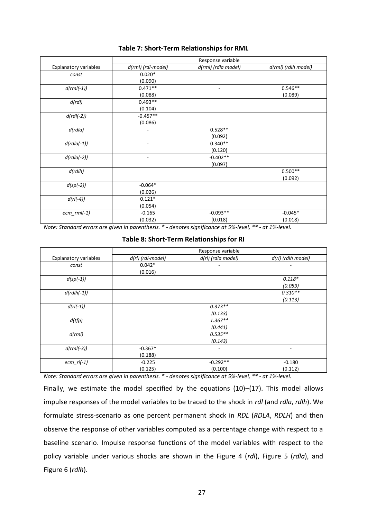|                       | Response variable        |                     |                     |
|-----------------------|--------------------------|---------------------|---------------------|
| Explanatory variables | d(rml) (rdl-model)       | d(rml) (rdla model) | d(rml) (rdlh model) |
| const                 | $0.020*$                 |                     |                     |
|                       | (0.090)                  |                     |                     |
| $d(rml(-1))$          | $0.471**$                | ٠                   | $0.546**$           |
|                       | (0.088)                  |                     | (0.089)             |
| d(rdl)                | $0.493**$                |                     |                     |
|                       | (0.104)                  |                     |                     |
| $d(rdl(-2))$          | $-0.457**$               |                     |                     |
|                       | (0.086)                  |                     |                     |
| d(rd/a)               | ۰                        | $0.528**$           |                     |
|                       |                          | (0.092)             |                     |
| $d(rdla(-1))$         | $\overline{\phantom{0}}$ | $0.340**$           |                     |
|                       |                          | (0.120)             |                     |
| $d(rdla(-2))$         | ٠                        | $-0.402**$          |                     |
|                       |                          | (0.097)             |                     |
| d(rdlh)               |                          |                     | $0.500**$           |
|                       |                          |                     | (0.092)             |
| $d(sp(-2))$           | $-0.064*$                |                     |                     |
|                       | (0.026)                  |                     |                     |
| $d(ri(-4))$           | $0.121*$                 |                     |                     |
|                       | (0.054)                  |                     |                     |
| $ecm$ _rml(-1)        | $-0.165$                 | $-0.093**$          | $-0.045*$           |
|                       | (0.032)                  | (0.018)             | (0.018)             |

# **Table 7: Short-Term Relationships for RML**

*Note: Standard errors are given in parenthesis. \* - denotes significance at 5%-level, \*\* - at 1%-level.*

# **Table 8: Short-Term Relationships for RI**

|                       | Response variable |                    |                    |
|-----------------------|-------------------|--------------------|--------------------|
| Explanatory variables | d(ri) (rdl-model) | d(ri) (rdla model) | d(ri) (rdlh model) |
| const                 | $0.042*$          |                    |                    |
|                       | (0.016)           |                    |                    |
| $d(sp(-1))$           |                   |                    | $0.118*$           |
|                       |                   |                    | (0.059)            |
| $d(rdlh(-1))$         |                   |                    | $0.310**$          |
|                       |                   |                    | (0.113)            |
| $d(ri(-1))$           |                   | $0.373**$          |                    |
|                       |                   | (0.133)            |                    |
| d(tfp)                |                   | $1.367**$          |                    |
|                       |                   | (0.441)            |                    |
| d(rml)                |                   | $0.535**$          |                    |
|                       |                   | (0.143)            |                    |
| $d(rml(-3))$          | $-0.367*$         |                    | ۰                  |
|                       | (0.188)           |                    |                    |
| $ecm_r(i-1)$          | $-0.225$          | $-0.292**$         | $-0.180$           |
|                       | (0.125)           | (0.100)            | (0.112)            |

*Note: Standard errors are given in parenthesis. \* - denotes significance at 5%-level, \*\* - at 1%-level.*

Finally, we estimate the model specified by the equations (10)–(17). This model allows impulse responses of the model variables to be traced to the shock in *rdl* (and *rdla*, *rdlh*). We formulate stress-scenario as one percent permanent shock in *RDL* (*RDLA*, *RDLH*) and then observe the response of other variables computed as a percentage change with respect to a baseline scenario. Impulse response functions of the model variables with respect to the policy variable under various shocks are shown in the Figure 4 (*rdl*), Figure 5 (*rdla*), and Figure 6 (*rdlh*).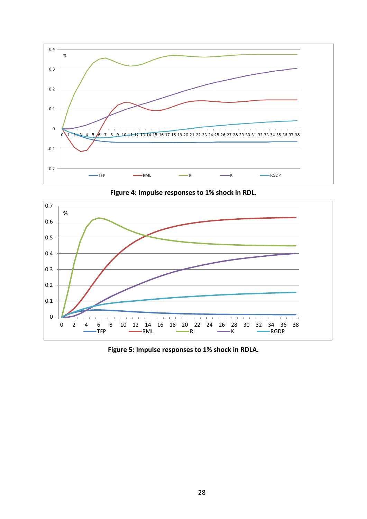

**Figure 4: Impulse responses to 1% shock in RDL.**



**Figure 5: Impulse responses to 1% shock in RDLA.**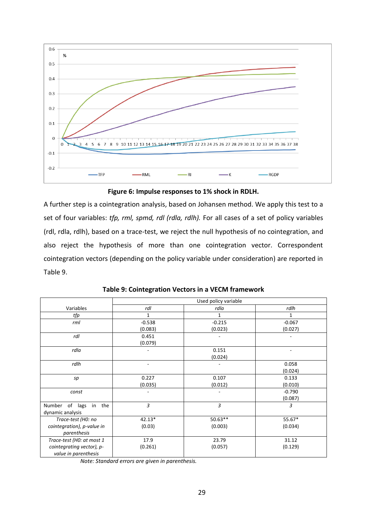

**Figure 6: Impulse responses to 1% shock in RDLH.**

A further step is a cointegration analysis, based on Johansen method. We apply this test to a set of four variables: *tfp, rml, spmd, rdl (rdla, rdlh).* For all cases of a set of policy variables (rdl, rdla, rdlh), based on a trace-test, we reject the null hypothesis of no cointegration, and also reject the hypothesis of more than one cointegration vector. Correspondent cointegration vectors (depending on the policy variable under consideration) are reported in Table 9.

|                            | Used policy variable     |              |                          |
|----------------------------|--------------------------|--------------|--------------------------|
| Variables                  | rdl                      | rdla         | rdlh                     |
| tfp                        | $\mathbf{1}$             | $\mathbf{1}$ | 1                        |
| rml                        | $-0.538$                 | $-0.215$     | $-0.067$                 |
|                            | (0.083)                  | (0.023)      | (0.027)                  |
| rdl                        | 0.451                    |              |                          |
|                            | (0.079)                  |              |                          |
| rdla                       |                          | 0.151        | $\overline{\phantom{a}}$ |
|                            |                          | (0.024)      |                          |
| rdlh                       | ٠                        |              | 0.058                    |
|                            |                          |              | (0.024)                  |
| sp                         | 0.227                    | 0.107        | 0.133                    |
|                            | (0.035)                  | (0.012)      | (0.010)                  |
| const                      | $\overline{\phantom{a}}$ | -            | $-0.790$                 |
|                            |                          |              | (0.087)                  |
| of lags in the<br>Number   | 3                        | 3            | 3                        |
| dynamic analysis           |                          |              |                          |
| Trace-test (H0: no         | $42.13*$                 | $50.63**$    | 55.67*                   |
| cointegration), p-value in | (0.03)                   | (0.003)      | (0.034)                  |
| parenthesis                |                          |              |                          |
| Trace-test (H0: at most 1  | 17.9                     | 23.79        | 31.12                    |
| cointegrating vector), p-  | (0.261)                  | (0.057)      | (0.129)                  |
| value in parenthesis       |                          |              |                          |

|  | Table 9: Cointegration Vectors in a VECM framework |  |
|--|----------------------------------------------------|--|
|--|----------------------------------------------------|--|

*Note: Standard errors are given in parenthesis.*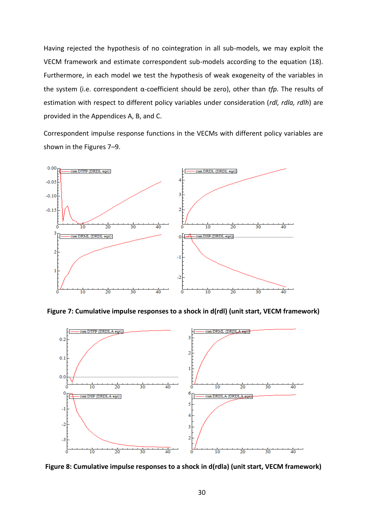Having rejected the hypothesis of no cointegration in all sub-models, we may exploit the VECM framework and estimate correspondent sub-models according to the equation (18). Furthermore, in each model we test the hypothesis of weak exogeneity of the variables in the system (i.e. correspondent α-coefficient should be zero), other than *tfp.* The results of estimation with respect to different policy variables under consideration (*rdl, rdla, rdlh*) are provided in the Appendices A, B, and C.

Correspondent impulse response functions in the VECMs with different policy variables are shown in the Figures 7–9.



**Figure 7: Cumulative impulse responses to a shock in d(rdl) (unit start, VECM framework)**



**Figure 8: Cumulative impulse responses to a shock in d(rdla) (unit start, VECM framework)**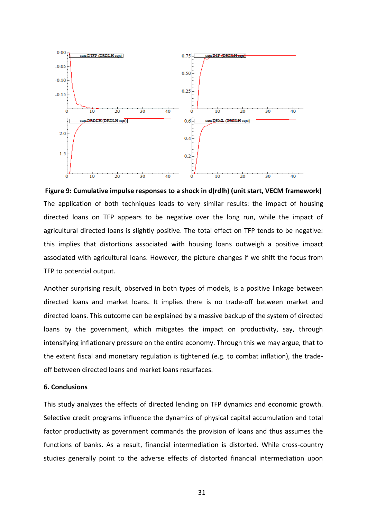

**Figure 9: Cumulative impulse responses to a shock in d(rdlh) (unit start, VECM framework)** The application of both techniques leads to very similar results: the impact of housing directed loans on TFP appears to be negative over the long run, while the impact of agricultural directed loans is slightly positive. The total effect on TFP tends to be negative: this implies that distortions associated with housing loans outweigh a positive impact associated with agricultural loans. However, the picture changes if we shift the focus from TFP to potential output.

Another surprising result, observed in both types of models, is a positive linkage between directed loans and market loans. It implies there is no trade-off between market and directed loans. This outcome can be explained by a massive backup of the system of directed loans by the government, which mitigates the impact on productivity, say, through intensifying inflationary pressure on the entire economy. Through this we may argue, that to the extent fiscal and monetary regulation is tightened (e.g. to combat inflation), the tradeoff between directed loans and market loans resurfaces.

### **6. Conclusions**

This study analyzes the effects of directed lending on TFP dynamics and economic growth. Selective credit programs influence the dynamics of physical capital accumulation and total factor productivity as government commands the provision of loans and thus assumes the functions of banks. As a result, financial intermediation is distorted. While cross-country studies generally point to the adverse effects of distorted financial intermediation upon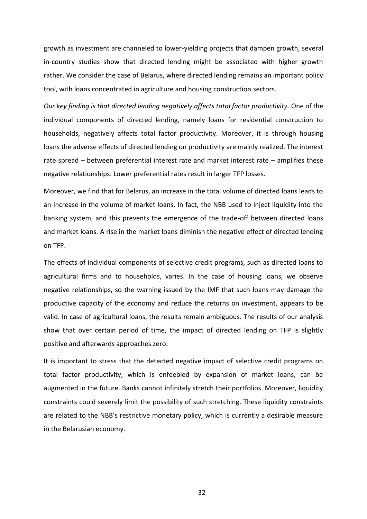growth as investment are channeled to lower-yielding projects that dampen growth, several in-country studies show that directed lending might be associated with higher growth rather. We consider the case of Belarus, where directed lending remains an important policy tool, with loans concentrated in agriculture and housing construction sectors.

*Our key finding is that directed lending negatively affects total factor productivity*. One of the individual components of directed lending, namely loans for residential construction to households, negatively affects total factor productivity. Moreover, it is through housing loans the adverse effects of directed lending on productivity are mainly realized. The interest rate spread – between preferential interest rate and market interest rate – amplifies these negative relationships. Lower preferential rates result in larger TFP losses.

Moreover, we find that for Belarus, an increase in the total volume of directed loans leads to an increase in the volume of market loans. In fact, the NBB used to inject liquidity into the banking system, and this prevents the emergence of the trade-off between directed loans and market loans. A rise in the market loans diminish the negative effect of directed lending on TFP.

The effects of individual components of selective credit programs, such as directed loans to agricultural firms and to households, varies. In the case of housing loans, we observe negative relationships, so the warning issued by the IMF that such loans may damage the productive capacity of the economy and reduce the returns on investment, appears to be valid. In case of agricultural loans, the results remain ambiguous. The results of our analysis show that over certain period of time, the impact of directed lending on TFP is slightly positive and afterwards approaches zero.

It is important to stress that the detected negative impact of selective credit programs on total factor productivity, which is enfeebled by expansion of market loans, can be augmented in the future. Banks cannot infinitely stretch their portfolios. Moreover, liquidity constraints could severely limit the possibility of such stretching. These liquidity constraints are related to the NBB's restrictive monetary policy, which is currently a desirable measure in the Belarusian economy.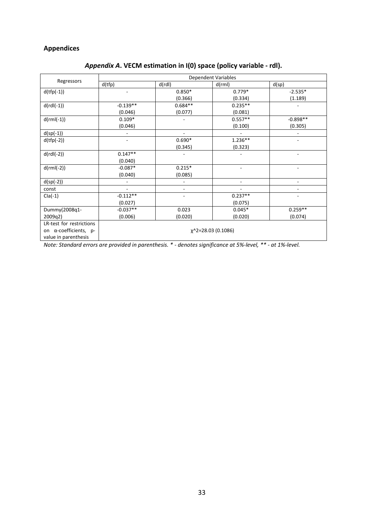# **Appendices**

| Regressors               | Dependent Variables                |                          |                          |                          |
|--------------------------|------------------------------------|--------------------------|--------------------------|--------------------------|
|                          | d(tfp)                             | d(rdl)                   | d(rml)                   | d(sp)                    |
| $d(tfp(-1))$             |                                    | $0.850*$                 | $0.779*$                 | $-2.535*$                |
|                          |                                    | (0.366)                  | (0.334)                  | (1.189)                  |
| $d(rdl(-1))$             | $-0.139**$                         | $0.684**$                | $0.235**$                |                          |
|                          | (0.046)                            | (0.077)                  | (0.081)                  |                          |
| $d(rml(-1))$             | $0.109*$                           |                          | $0.557**$                | $-0.898**$               |
|                          | (0.046)                            |                          | (0.100)                  | (0.305)                  |
| $d(sp(-1))$              |                                    | $\overline{\phantom{m}}$ |                          |                          |
| $d(tfp(-2))$             |                                    | $0.690*$                 | $1.236**$                |                          |
|                          |                                    | (0.345)                  | (0.323)                  |                          |
| $d(rdl(-2))$             | $0.147**$                          |                          |                          |                          |
|                          | (0.040)                            |                          |                          |                          |
| $d(rml(-2))$             | $-0.087*$                          | $0.215*$                 |                          | ۰                        |
|                          | (0.040)                            | (0.085)                  |                          |                          |
| $d(sp(-2))$              |                                    |                          | $\overline{\phantom{a}}$ | $\overline{\phantom{0}}$ |
| const                    |                                    |                          |                          |                          |
| $Cla(-1)$                | $-0.112**$                         |                          | $0.237**$                |                          |
|                          | (0.027)                            |                          | (0.075)                  |                          |
| Dummy(2008q1-            | $-0.037**$                         | 0.023                    | $0.045*$                 | $0.259**$                |
| 2009q2)                  | (0.006)                            | (0.020)                  | (0.020)                  | (0.074)                  |
| LR-test for restrictions |                                    |                          |                          |                          |
| on α-coefficients, p-    | $\chi$ <sup>2=28.03 (0.1086)</sup> |                          |                          |                          |
| value in parenthesis     |                                    |                          |                          |                          |

# *Appendix A***. VECM estimation in I(0) space (policy variable - rdl).**

*Note: Standard errors are provided in parenthesis. \* - denotes significance at 5%-level, \*\* - at 1%-level.*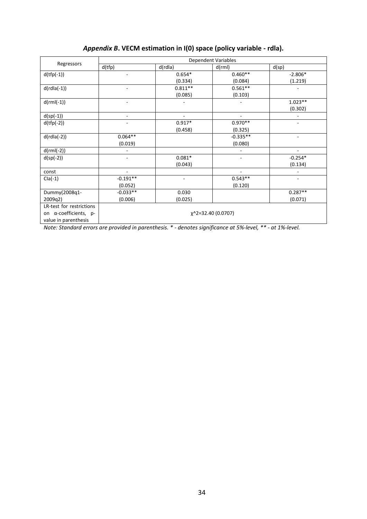| Regressors                    | Dependent Variables             |           |                          |                          |
|-------------------------------|---------------------------------|-----------|--------------------------|--------------------------|
|                               | d(tfp)                          | d(rdla)   | d(rml)                   | d(sp)                    |
| $d(tfp(-1))$                  |                                 | $0.654*$  | $0.460**$                | $-2.806*$                |
|                               |                                 | (0.334)   | (0.084)                  | (1.219)                  |
| $d(rdla(-1))$                 | -                               | $0.811**$ | $0.561**$                |                          |
|                               |                                 | (0.085)   | (0.103)                  |                          |
| $d(rml(-1))$                  |                                 |           |                          | $1.023**$                |
|                               |                                 |           |                          | (0.302)                  |
| $d(sp(-1))$                   | ٠                               | ٠         | $\overline{\phantom{a}}$ |                          |
| $d(tfp(-2))$                  |                                 | $0.917*$  | $0.970**$                |                          |
|                               |                                 | (0.458)   | (0.325)                  |                          |
| $d(rdla(-2))$                 | $0.064**$                       |           | $-0.335**$               | ÷                        |
|                               | (0.019)                         |           | (0.080)                  |                          |
| $d(rml(-2))$                  |                                 |           | $\overline{\phantom{a}}$ | $\overline{\phantom{a}}$ |
| $d(sp(-2))$                   |                                 | $0.081*$  | ۰                        | $-0.254*$                |
|                               |                                 | (0.043)   |                          | (0.134)                  |
| const                         |                                 |           |                          |                          |
| $Cla(-1)$                     | $-0.191**$                      |           | $0.543**$                |                          |
|                               | (0.052)                         |           | (0.120)                  |                          |
| Dummy(2008q1-                 | $-0.033**$                      | 0.030     |                          | $0.287**$                |
| 2009q2)                       | (0.006)                         | (0.025)   |                          | (0.071)                  |
| LR-test for restrictions      |                                 |           |                          |                          |
| on $\alpha$ -coefficients, p- | χ <sup>^</sup> 2=32.40 (0.0707) |           |                          |                          |
| value in parenthesis          |                                 |           |                          |                          |

# *Appendix B***. VECM estimation in I(0) space (policy variable - rdla).**

*Note: Standard errors are provided in parenthesis. \* - denotes significance at 5%-level, \*\* - at 1%-level.*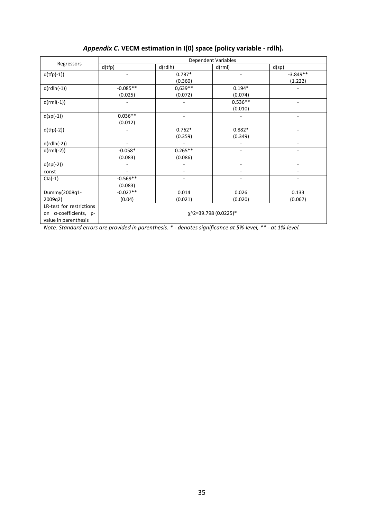| Regressors               | Dependent Variables               |           |                          |                          |
|--------------------------|-----------------------------------|-----------|--------------------------|--------------------------|
|                          | d(tfp)                            | d(rdlh)   | d(rml)                   | d(sp)                    |
| $d(tfp(-1))$             |                                   | $0.787*$  |                          | $-3.849**$               |
|                          |                                   | (0.360)   |                          | (1.222)                  |
| $d(rdlh(-1))$            | $-0.085**$                        | 0,639**   | $0.194*$                 |                          |
|                          | (0.025)                           | (0.072)   | (0.074)                  |                          |
| $d(rml(-1))$             |                                   |           | $0.536**$                | ÷                        |
|                          |                                   |           | (0.010)                  |                          |
| $d(sp(-1))$              | $0.036**$                         | ۰         |                          | $\overline{a}$           |
|                          | (0.012)                           |           |                          |                          |
| $d(tfp(-2))$             |                                   | $0.762*$  | $0.882*$                 |                          |
|                          |                                   | (0.359)   | (0.349)                  |                          |
| $d(rdlh(-2))$            |                                   |           | $\overline{\phantom{a}}$ | ٠                        |
| $d(rml(-2))$             | $-0.058*$                         | $0.265**$ | ٠                        | ۰                        |
|                          | (0.083)                           | (0.086)   |                          |                          |
| $d(sp(-2))$              |                                   |           | $\overline{\phantom{a}}$ | $\overline{\phantom{a}}$ |
| const                    |                                   |           | -                        |                          |
| $Cla(-1)$                | $-0.569**$                        |           |                          |                          |
|                          | (0.083)                           |           |                          |                          |
| Dummy(2008q1-            | $-0.027**$                        | 0.014     | 0.026                    | 0.133                    |
| 2009q2)                  | (0.04)                            | (0.021)   | (0.020)                  | (0.067)                  |
| LR-test for restrictions |                                   |           |                          |                          |
| on α-coefficients, p-    | χ <sup>^</sup> 2=39.798 (0.0225)* |           |                          |                          |
| value in parenthesis     |                                   |           |                          |                          |

# *Appendix C***. VECM estimation in I(0) space (policy variable - rdlh).**

*Note: Standard errors are provided in parenthesis. \* - denotes significance at 5%-level, \*\* - at 1%-level.*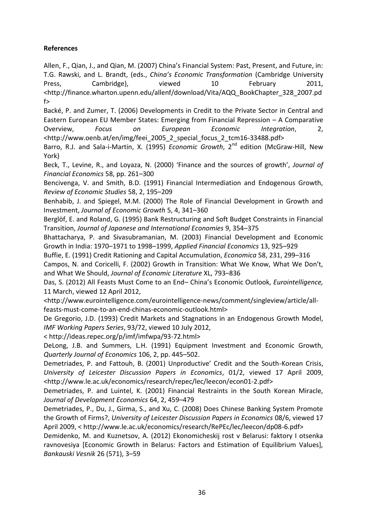# **References**

Allen, F., Qian, J., and Qian, M. (2007) China's Financial System: Past, Present, and Future, in: T.G. Rawski, and L. Brandt, (eds., *China's Economic Transformation* (Cambridge University Press, Cambridge), viewed 10 February 2011, <http://finance.wharton.upenn.edu/allenf/download/Vita/AQQ\_BookChapter\_328\_2007.pd f>

Backé, P. and Zumer, T. (2006) Developments in Credit to the Private Sector in Central and Eastern European EU Member States: Emerging from Financial Repression – A Comparative Overview, *Focus on European Economic Integration*, 2, <http://www.oenb.at/en/img/feei\_2005\_2\_special\_focus\_2\_tcm16-33488.pdf>

Barro, R.J. and Sala-i-Martin, X. (1995) *Economic Growth*, 2<sup>nd</sup> edition (McGraw-Hill, New York)

Beck, T., Levine, R., and Loyaza, N. (2000) 'Finance and the sources of growth', *Journal of Financial Economics* 58, pp. 261–300

Bencivenga, V. and Smith, B.D. (1991) Financial Intermediation and Endogenous Growth, *Review of Economic Studies* 58, 2, 195–209

Benhabib, J. and Spiegel, M.M. (2000) The Role of Financial Development in Growth and Investment, *Journal of Economic Growth* 5, 4, 341–360

Berglöf, E. and Roland, G. (1995) Bank Restructuring and Soft Budget Constraints in Financial Transition, *Journal of Japanese and International Economies* 9, 354–375

Bhattacharya, P. and Sivasubramanian, M. (2003) Financial Development and Economic Growth in India: 1970–1971 to 1998–1999, *Applied Financial Economics* 13, 925–929

Buffie, E. (1991) Credit Rationing and Capital Accumulation, *Economica* 58, 231, 299–316

Campos, N. and Coricelli, F. (2002) Growth in Transition: What We Know, What We Don't, and What We Should, *Journal of Economic Literature* XL, 793–836

Das, S. (2012) All Feasts Must Come to an End– China's Economic Outlook, *Eurointelligence,*  11 March, viewed 12 April 2012,

<http://www.eurointelligence.com/eurointelligence-news/comment/singleview/article/allfeasts-must-come-to-an-end-chinas-economic-outlook.html>

De Gregorio, J.D. (1993) Credit Markets and Stagnations in an Endogenous Growth Model, *IMF Working Papers Series*, 93/72, viewed 10 July 2012,

< http://ideas.repec.org/p/imf/imfwpa/93-72.html>

DeLong, J.B. and Summers, L.H. (1991) Equipment Investment and Economic Growth, *Quarterly Journal of Economics* 106, 2, pp. 445–502.

Demetriades, P. and Fattouh, B. (2001) Unproductive' Credit and the South-Korean Crisis, *University of Leicester Discussion Papers in Economics*, 01/2, viewed 17 April 2009, <http://www.le.ac.uk/economics/research/repec/lec/leecon/econ01-2.pdf>

Demetriades, P. and Luintel, K. (2001) Financial Restraints in the South Korean Miracle, *Journal of Development Economics* 64, 2, 459–479

Demetriades, P., Du, J., Girma, S., and Xu, C. (2008) Does Chinese Banking System Promote the Growth of Firms?, *University of Leicester Discussion Papers in Economics* 08/6, viewed 17 April 2009, < http://www.le.ac.uk/economics/research/RePEc/lec/leecon/dp08-6.pdf>

Demidenko, M. and Kuznetsov, A. (2012) Ekonomicheskij rost v Belarusi: faktory I otsenka ravnovesiya [Economic Growth in Belarus: Factors and Estimation of Equilibrium Values], *Bankauski Vesnik* 26 (571), 3–59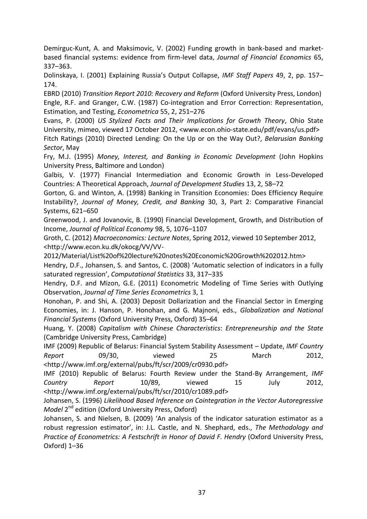Demirguc-Kunt, A. and Maksimovic, V. (2002) Funding growth in bank-based and marketbased financial systems: evidence from firm-level data, *Journal of Financial Economics* 65, 337–363.

Dolinskaya, I. (2001) Explaining Russia's Output Collapse, *IMF Staff Papers* 49, 2, pp. 157– 174.

EBRD (2010) *Transition Report 2010: Recovery and Reform* (Oxford University Press, London) Engle, R.F. and Granger, C.W. (1987) Co-integration and Error Correction: Representation, Estimation, and Testing, *Econometrica* 55, 2, 251–276

Evans, P. (2000) *US Stylized Facts and Their Implications for Growth Theory*, Ohio State University, mimeo, viewed 17 October 2012, <www.econ.ohio-state.edu/pdf/evans/us.pdf> Fitch Ratings (2010) Directed Lending: On the Up or on the Way Out?, *Belarusian Banking Sector*, May

Fry, M.J. (1995) *Money, Interest, and Banking in Economic Development* (John Hopkins University Press, Baltimore and London)

Galbis, V. (1977) Financial Intermediation and Economic Growth in Less-Developed Countries: A Theoretical Approach, *Journal of Development Studies* 13, 2, 58–72

Gorton, G. and Winton, A. (1998) Banking in Transition Economies: Does Efficiency Require Instability?, *Journal of Money, Credit, and Banking* 30, 3, Part 2: Comparative Financial Systems, 621–650

Greenwood, J. and Jovanovic, B. (1990) Financial Development, Growth, and Distribution of Income, *Journal of Political Economy* 98, 5, 1076–1107

Groth, C. (2012) *Macroeconomics: Lecture Notes*, Spring 2012, viewed 10 September 2012, <http://www.econ.ku.dk/okocg/VV/VV-

2012/Material/List%20of%20lecture%20notes%20Economic%20Growth%202012.htm>

Hendry, D.F., Johansen, S. and Santos, C. (2008) 'Automatic selection of indicators in a fully saturated regression', *Computational Statistics* 33, 317–335

Hendry, D.F. and Mizon, G.E. (2011) Econometric Modeling of Time Series with Outlying Observation, *Journal of Time Series Econometrics* 3, 1

Honohan, P. and Shi, A. (2003) Deposit Dollarization and the Financial Sector in Emerging Economies, in: J. Hanson, P. Honohan, and G. Majnoni, eds., *Globalization and National Financial Systems* (Oxford University Press, Oxford) 35–64

Huang, Y. (2008) *Capitalism with Chinese Characteristics*: *Entrepreneurship and the State* (Cambridge University Press, Cambridge)

IMF (2009) Republic of Belarus: Financial System Stability Assessment – Update, *IMF Country Report* 09/30, viewed 25 March 2012, <http://www.imf.org/external/pubs/ft/scr/2009/cr0930.pdf>

IMF (2010) Republic of Belarus: Fourth Review under the Stand-By Arrangement, *IMF Country Report* 10/89, viewed 15 July 2012, <http://www.imf.org/external/pubs/ft/scr/2010/cr1089.pdf>

Johansen, S. (1996) *Likelihood Based Inference on Cointegration in the Vector Autoregressive Model* 2 nd edition (Oxford University Press, Oxford)

Johansen, S. and Nielsen, B. (2009) 'An analysis of the indicator saturation estimator as a robust regression estimator', in: J.L. Castle, and N. Shephard, eds., *The Methodology and Practice of Econometrics: A Festschrift in Honor of David F. Hendry* (Oxford University Press, Oxford) 1–36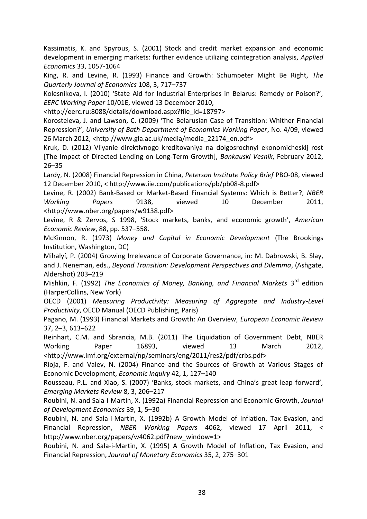Kassimatis, K. and Spyrous, S. (2001) Stock and credit market expansion and economic development in emerging markets: further evidence utilizing cointegration analysis, *Applied Economics* 33, 1057-1064

King, R. and Levine, R. (1993) Finance and Growth: Schumpeter Might Be Right, *The Quarterly Journal of Economics* 108, 3, 717–737

Kolesnikova, I. (2010) 'State Aid for Industrial Enterprises in Belarus: Remedy or Poison?', *EERC Working Paper* 10/01E, viewed 13 December 2010,

<http://eerc.ru:8088/details/download.aspx?file\_id=18797>

Korosteleva, J. and Lawson, C. (2009) 'The Belarusian Case of Transition: Whither Financial Repression?', *University of Bath Department of Economics Working Paper*, No. 4/09, viewed 26 March 2012, <http://www.gla.ac.uk/media/media\_22174\_en.pdf>

Kruk, D. (2012) Vliyanie direktivnogo kreditovaniya na dolgosrochnyi ekonomicheskij rost [The Impact of Directed Lending on Long-Term Growth], *Bankauski Vesnik*, February 2012, 26–35

Lardy, N. (2008) Financial Repression in China, *Peterson Institute Policy Brief* PBO-08, viewed 12 December 2010, < http://www.iie.com/publications/pb/pb08-8.pdf>

Levine, R. (2002) Bank-Based or Market-Based Financial Systems: Which is Better?, *NBER Working Papers* 9138, viewed 10 December 2011, <http://www.nber.org/papers/w9138.pdf>

Levine, R & Zervos, S 1998, 'Stock markets, banks, and economic growth', *American Economic Review*, 88, pp. 537–558.

McKinnon, R. (1973) *Money and Capital in Economic Development* (The Brookings Institution, Washington, DC)

Mihalyí, P. (2004) Growing Irrelevance of Corporate Governance, in: M. Dabrowski, B. Slay, and J. Neneman, eds., *Beyond Transition: Development Perspectives and Dilemma*, (Ashgate, Aldershot) 203–219

Mishkin, F. (1992) *The Economics of Money, Banking, and Financial Markets* 3<sup>rd</sup> edition (HarperCollins, New York)

OECD (2001) *Measuring Productivity: Measuring of Aggregate and Industry-Level Productivity*, OECD Manual (OECD Publishing, Paris)

Pagano, M. (1993) Financial Markets and Growth: An Overview, *European Economic Review* 37, 2–3, 613–622

Reinhart, C.M. and Sbrancia, M.B. (2011) The Liquidation of Government Debt, NBER Working Paper 16893, viewed 13 March 2012, <http://www.imf.org/external/np/seminars/eng/2011/res2/pdf/crbs.pdf>

Rioja, F. and Valev, N. (2004) Finance and the Sources of Growth at Various Stages of Economic Development, *Economic Inquiry* 42, 1, 127–140

Rousseau, P.L. and Xiao, S. (2007) 'Banks, stock markets, and China's great leap forward', *Emerging Markets Review* 8, 3, 206–217

Roubini, N. and Sala-i-Martin, X. (1992a) Financial Repression and Economic Growth, *Journal of Development Economics* 39, 1, 5–30

Roubini, N. and Sala-i-Martin, X. (1992b) A Growth Model of Inflation, Tax Evasion, and Financial Repression, *NBER Working Papers* 4062, viewed 17 April 2011, < http://www.nber.org/papers/w4062.pdf?new\_window=1>

Roubini, N. and Sala-i-Martin, X. (1995) A Growth Model of Inflation, Tax Evasion, and Financial Repression, *Journal of Monetary Economics* 35, 2, 275–301